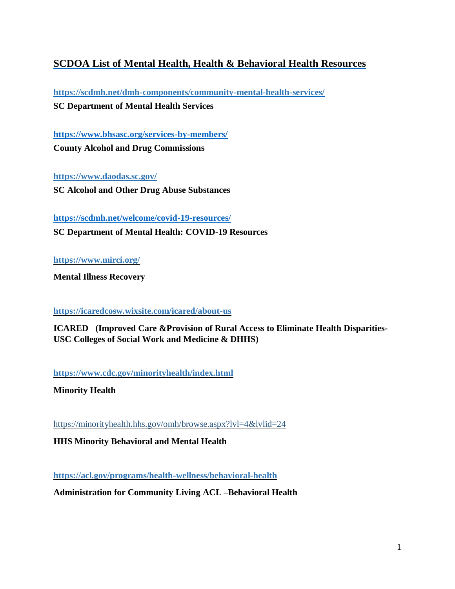## **SCDOA List of Mental Health, Health & Behavioral Health Resources**

**<https://scdmh.net/dmh-components/community-mental-health-services/> SC Department of Mental Health Services**

**https://www.bhsasc.org/services-by-members/ County Alcohol and Drug Commissions**

**<https://www.daodas.sc.gov/> SC Alcohol and Other Drug Abuse Substances**

**<https://scdmh.net/welcome/covid-19-resources/> SC Department of Mental Health: COVID-19 Resources**

**https://www.mirci.org/**

**Mental Illness Recovery**

**https://icaredcosw.wixsite.com/icared/about-us**

**ICARED (Improved Care &Provision of Rural Access to Eliminate Health Disparities-USC Colleges of Social Work and Medicine & DHHS)**

**https://www.cdc.gov/minorityhealth/index.html**

**Minority Health**

<https://minorityhealth.hhs.gov/omh/browse.aspx?lvl=4&lvlid=24>

**HHS Minority Behavioral and Mental Health**

**https://acl.gov/programs/health-wellness/behavioral-health**

**Administration for Community Living ACL –Behavioral Health**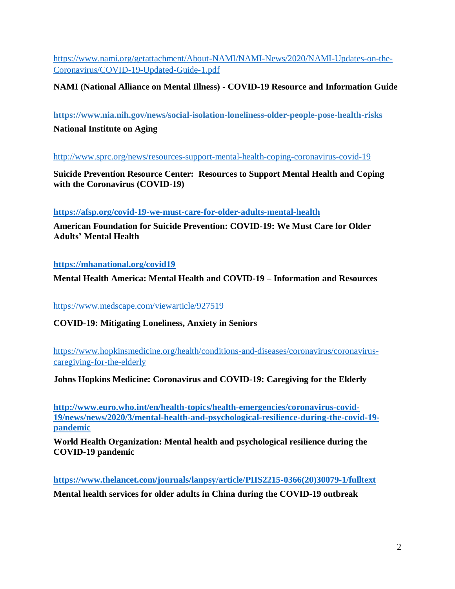[https://www.nami.org/getattachment/About-NAMI/NAMI-News/2020/NAMI-Updates-on-the-](https://www.nami.org/getattachment/About-NAMI/NAMI-News/2020/NAMI-Updates-on-the-Coronavirus/COVID-19-Updated-Guide-1.pdf)[Coronavirus/COVID-19-Updated-Guide-1.pdf](https://www.nami.org/getattachment/About-NAMI/NAMI-News/2020/NAMI-Updates-on-the-Coronavirus/COVID-19-Updated-Guide-1.pdf)

**NAMI (National Alliance on Mental Illness) - COVID-19 Resource and Information Guide**

**https://www.nia.nih.gov/news/social-isolation-loneliness-older-people-pose-health-risks**

**National Institute on Aging**

<http://www.sprc.org/news/resources-support-mental-health-coping-coronavirus-covid-19>

**Suicide Prevention Resource Center: Resources to Support Mental Health and Coping with the Coronavirus (COVID-19)**

**<https://afsp.org/covid-19-we-must-care-for-older-adults-mental-health>**

**American Foundation for Suicide Prevention: COVID-19: We Must Care for Older Adults' Mental Health**

## **<https://mhanational.org/covid19>**

**Mental Health America: Mental Health and COVID-19 – Information and Resources**

<https://www.medscape.com/viewarticle/927519>

**COVID-19: Mitigating Loneliness, Anxiety in Seniors**

https://www.hopkinsmedicine.org/health/conditions-and-diseases/coronavirus/coronaviruscaregiving-for-the-elderly

**Johns Hopkins Medicine: Coronavirus and COVID-19: Caregiving for the Elderly**

**[http://www.euro.who.int/en/health-topics/health-emergencies/coronavirus-covid-](http://www.euro.who.int/en/health-topics/health-emergencies/coronavirus-covid-19/news/news/2020/3/mental-health-and-psychological-resilience-during-the-covid-19-pandemic)[19/news/news/2020/3/mental-health-and-psychological-resilience-during-the-covid-19](http://www.euro.who.int/en/health-topics/health-emergencies/coronavirus-covid-19/news/news/2020/3/mental-health-and-psychological-resilience-during-the-covid-19-pandemic) [pandemic](http://www.euro.who.int/en/health-topics/health-emergencies/coronavirus-covid-19/news/news/2020/3/mental-health-and-psychological-resilience-during-the-covid-19-pandemic)**

**World Health Organization: Mental health and psychological resilience during the COVID-19 pandemic**

**[https://www.thelancet.com/journals/lanpsy/article/PIIS2215-0366\(20\)30079-1/fulltext](https://www.thelancet.com/journals/lanpsy/article/PIIS2215-0366(20)30079-1/fulltext) Mental health services for older adults in China during the COVID-19 outbreak**